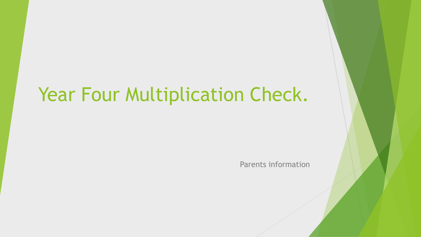# Year Four Multiplication Check.

Parents information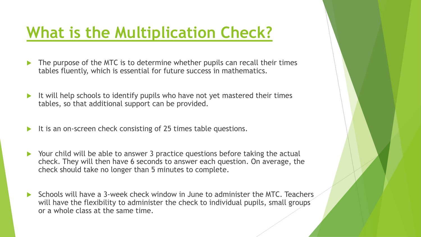## **What is the Multiplication Check?**

- The purpose of the MTC is to determine whether pupils can recall their times tables fluently, which is essential for future success in mathematics.
- It will help schools to identify pupils who have not yet mastered their times tables, so that additional support can be provided.
- It is an on-screen check consisting of 25 times table questions.
- ▶ Your child will be able to answer 3 practice questions before taking the actual check. They will then have 6 seconds to answer each question. On average, the check should take no longer than 5 minutes to complete.
- Schools will have a 3-week check window in June to administer the MTC. Teachers will have the flexibility to administer the check to individual pupils, small groups or a whole class at the same time.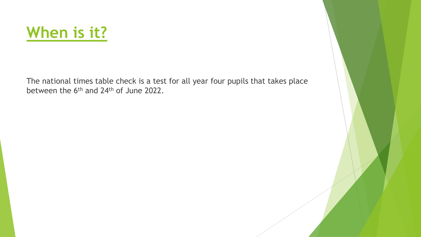

The national times table check is a test for all year four pupils that takes place between the 6<sup>th</sup> and 24<sup>th</sup> of June 2022.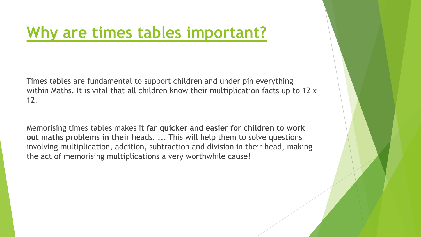#### **Why are times tables important?**

Times tables are fundamental to support children and under pin everything within Maths. It is vital that all children know their multiplication facts up to 12 x 12.

Memorising times tables makes it **far quicker and easier for children to work out maths problems in their** heads. ... This will help them to solve questions involving multiplication, addition, subtraction and division in their head, making the act of memorising multiplications a very worthwhile cause!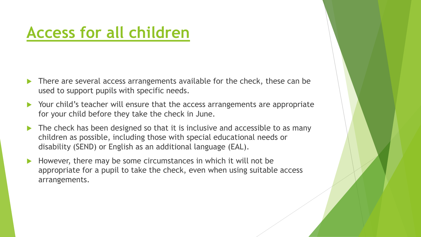# **Access for all children**

- There are several access arrangements available for the check, these can be used to support pupils with specific needs.
- Your child's teacher will ensure that the access arrangements are appropriate for your child before they take the check in June.
- The check has been designed so that it is inclusive and accessible to as many children as possible, including those with special educational needs or disability (SEND) or English as an additional language (EAL).
- $\blacktriangleright$  However, there may be some circumstances in which it will not be appropriate for a pupil to take the check, even when using suitable access arrangements.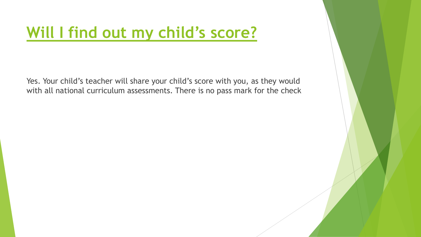# **Will I find out my child's score?**

Yes. Your child's teacher will share your child's score with you, as they would with all national curriculum assessments. There is no pass mark for the check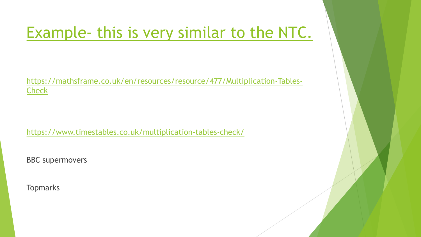## Example- this is very similar to the NTC.

[https://mathsframe.co.uk/en/resources/resource/477/Multiplication-Tables-](https://mathsframe.co.uk/en/resources/resource/477/Multiplication-Tables-Check)Check

<https://www.timestables.co.uk/multiplication-tables-check/>

BBC supermovers

**Topmarks**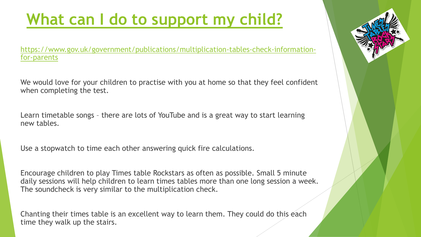# **What can I do to support my child?**

[https://www.gov.uk/government/publications/multiplication-tables-check-information](https://www.gov.uk/government/publications/multiplication-tables-check-information-for-parents)for-parents

We would love for your children to practise with you at home so that they feel confident when completing the test.

Learn timetable songs – there are lots of YouTube and is a great way to start learning new tables.

Use a stopwatch to time each other answering quick fire calculations.

Encourage children to play Times table Rockstars as often as possible. Small 5 minute daily sessions will help children to learn times tables more than one long session a week. The soundcheck is very similar to the multiplication check.

Chanting their times table is an excellent way to learn them. They could do this each time they walk up the stairs.